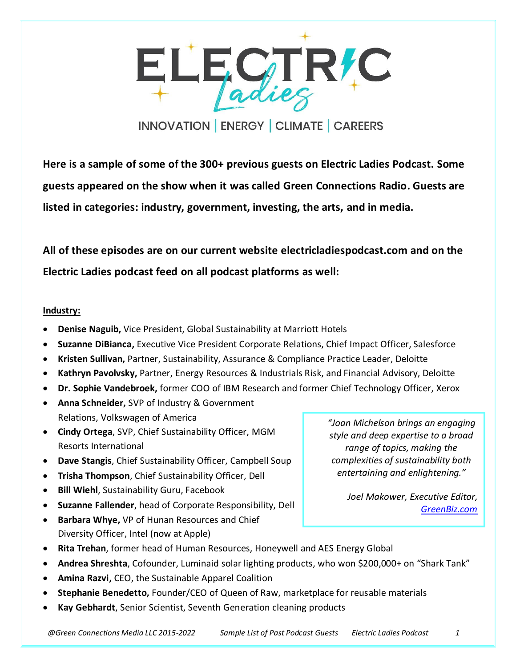

**Here is a sample of some of the 300+ previous guests on Electric Ladies Podcast. Some guests appeared on the show when it was called Green Connections Radio. Guests are listed in categories: industry, government, investing, the arts, and in media.**

**All of these episodes are on our current website electricladiespodcast.com and on the Electric Ladies podcast feed on all podcast platforms as well:**

## **Industry:**

- **Denise Naguib,** Vice President, Global Sustainability at Marriott Hotels
- **Suzanne DiBianca,** Executive Vice President Corporate Relations, Chief Impact Officer, Salesforce
- **Kristen Sullivan,** Partner, Sustainability, Assurance & Compliance Practice Leader, Deloitte
- **Kathryn Pavolvsky,** Partner, Energy Resources & Industrials Risk, and Financial Advisory, Deloitte
- **Dr. Sophie Vandebroek,** former COO of IBM Research and former Chief Technology Officer, Xerox
- **Anna Schneider,** SVP of Industry & Government Relations, Volkswagen of America
- **Cindy Ortega**, SVP, Chief Sustainability Officer, MGM Resorts International
- **Dave Stangis**, Chief Sustainability Officer, Campbell Soup
- **Trisha Thompson**, Chief Sustainability Officer, Dell
- **Bill Wiehl**, Sustainability Guru, Facebook
- **Suzanne Fallender**, head of Corporate Responsibility, Dell
- **Barbara Whye,** VP of Hunan Resources and Chief Diversity Officer, Intel (now at Apple)

*"Joan Michelson brings an engaging style and deep expertise to a broad range of topics, making the complexities of sustainability both entertaining and enlightening."*

> *Joel Makower, Executive Editor, [GreenBiz.com](http://greenbiz.com/)*

- **Rita Trehan**, former head of Human Resources, Honeywell and AES Energy Global
- **Andrea Shreshta**, Cofounder, Luminaid solar lighting products, who won \$200,000+ on "Shark Tank"
- **Amina Razvi,** CEO, the Sustainable Apparel Coalition
- **Stephanie Benedetto,** Founder/CEO of Queen of Raw, marketplace for reusable materials
- **Kay Gebhardt**, Senior Scientist, Seventh Generation cleaning products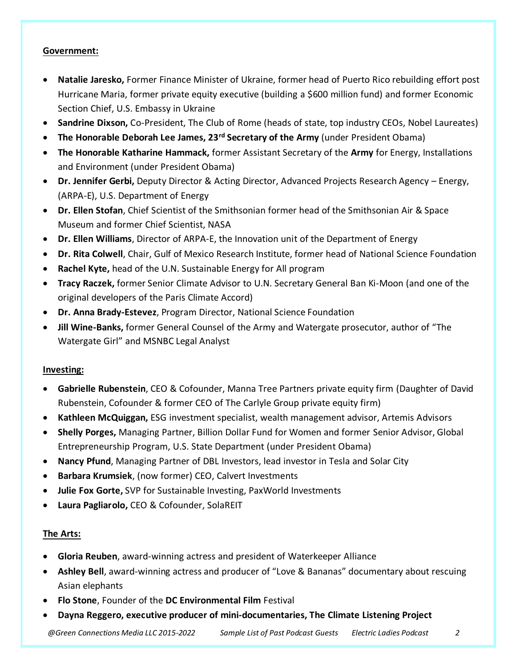## **Government:**

- **Natalie Jaresko,** Former Finance Minister of Ukraine, former head of Puerto Rico rebuilding effort post Hurricane Maria, former private equity executive (building a \$600 million fund) and former Economic Section Chief, U.S. Embassy in Ukraine
- **Sandrine Dixson,** Co-President, The Club of Rome (heads of state, top industry CEOs, Nobel Laureates)
- **The Honorable Deborah Lee James, 23rd Secretary of the Army** (under President Obama)
- **The Honorable Katharine Hammack,** former Assistant Secretary of the **Army** for Energy, Installations and Environment (under President Obama)
- **Dr. Jennifer Gerbi,** Deputy Director & Acting Director, Advanced Projects Research Agency Energy, (ARPA-E), U.S. Department of Energy
- **Dr. Ellen Stofan**, Chief Scientist of the Smithsonian former head of the Smithsonian Air & Space Museum and former Chief Scientist, NASA
- **Dr. Ellen Williams**, Director of ARPA-E, the Innovation unit of the Department of Energy
- **Dr. Rita Colwell**, Chair, Gulf of Mexico Research Institute, former head of National Science Foundation
- **Rachel Kyte,** head of the U.N. Sustainable Energy for All program
- **Tracy Raczek,** former Senior Climate Advisor to U.N. Secretary General Ban Ki-Moon (and one of the original developers of the Paris Climate Accord)
- **Dr. Anna Brady-Estevez**, Program Director, National Science Foundation
- **Jill Wine-Banks,** former General Counsel of the Army and Watergate prosecutor, author of "The Watergate Girl" and MSNBC Legal Analyst

#### **Investing:**

- **Gabrielle Rubenstein**, CEO & Cofounder, Manna Tree Partners private equity firm (Daughter of David Rubenstein, Cofounder & former CEO of The Carlyle Group private equity firm)
- **Kathleen McQuiggan,** ESG investment specialist, wealth management advisor, Artemis Advisors
- **Shelly Porges,** Managing Partner, Billion Dollar Fund for Women and former Senior Advisor, Global Entrepreneurship Program, U.S. State Department (under President Obama)
- **Nancy Pfund**, Managing Partner of DBL Investors, lead investor in Tesla and Solar City
- **Barbara Krumsiek**, (now former) CEO, Calvert Investments
- **Julie Fox Gorte,** SVP for Sustainable Investing, PaxWorld Investments
- **Laura Pagliarolo,** CEO & Cofounder, SolaREIT

# **The Arts:**

- **Gloria Reuben**, award-winning actress and president of Waterkeeper Alliance
- **Ashley Bell**, award-winning actress and producer of "Love & Bananas" documentary about rescuing Asian elephants
- **Flo Stone**, Founder of the **DC Environmental Film** Festival
- **Dayna Reggero, executive producer of mini-documentaries, The Climate Listening Project**